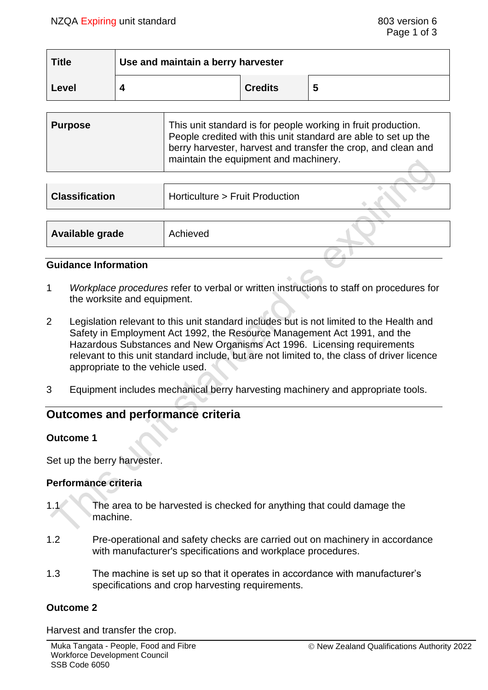$\sim$   $\sim$   $\sim$ 

| <b>Title</b> | Use and maintain a berry harvester |                |   |  |
|--------------|------------------------------------|----------------|---|--|
| Level        |                                    | <b>Credits</b> | 5 |  |

| <b>Purpose</b> | This unit standard is for people working in fruit production.<br>People credited with this unit standard are able to set up the<br>berry harvester, harvest and transfer the crop, and clean and<br>maintain the equipment and machinery. |
|----------------|-------------------------------------------------------------------------------------------------------------------------------------------------------------------------------------------------------------------------------------------|
|                |                                                                                                                                                                                                                                           |

| <b>Classification</b> | Horticulture > Fruit Production |  |
|-----------------------|---------------------------------|--|
|                       |                                 |  |
| Available grade       | Achieved                        |  |
|                       |                                 |  |

### **Guidance Information**

- 1 *Workplace procedures* refer to verbal or written instructions to staff on procedures for the worksite and equipment.
- 2 Legislation relevant to this unit standard includes but is not limited to the Health and Safety in Employment Act 1992, the Resource Management Act 1991, and the Hazardous Substances and New Organisms Act 1996. Licensing requirements relevant to this unit standard include, but are not limited to, the class of driver licence appropriate to the vehicle used.
- 3 Equipment includes mechanical berry harvesting machinery and appropriate tools.

# **Outcomes and performance criteria**

### **Outcome 1**

Set up the berry harvester.

### **Performance criteria**

- 1.1 The area to be harvested is checked for anything that could damage the machine.
- 1.2 Pre-operational and safety checks are carried out on machinery in accordance with manufacturer's specifications and workplace procedures.
- 1.3 The machine is set up so that it operates in accordance with manufacturer's specifications and crop harvesting requirements.

### **Outcome 2**

Harvest and transfer the crop.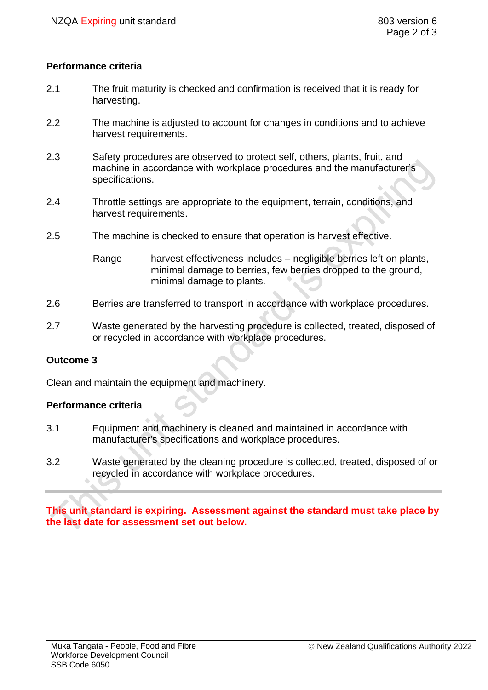### **Performance criteria**

- 2.1 The fruit maturity is checked and confirmation is received that it is ready for harvesting.
- 2.2 The machine is adjusted to account for changes in conditions and to achieve harvest requirements.
- 2.3 Safety procedures are observed to protect self, others, plants, fruit, and machine in accordance with workplace procedures and the manufacturer's specifications.
- 2.4 Throttle settings are appropriate to the equipment, terrain, conditions, and harvest requirements.
- 2.5 The machine is checked to ensure that operation is harvest effective.

Range harvest effectiveness includes – negligible berries left on plants, minimal damage to berries, few berries dropped to the ground, minimal damage to plants.

- 2.6 Berries are transferred to transport in accordance with workplace procedures.
- 2.7 Waste generated by the harvesting procedure is collected, treated, disposed of or recycled in accordance with workplace procedures.

### **Outcome 3**

Clean and maintain the equipment and machinery.

### **Performance criteria**

- 3.1 Equipment and machinery is cleaned and maintained in accordance with manufacturer's specifications and workplace procedures.
- 3.2 Waste generated by the cleaning procedure is collected, treated, disposed of or recycled in accordance with workplace procedures.

**This unit standard is expiring. Assessment against the standard must take place by the last date for assessment set out below.**